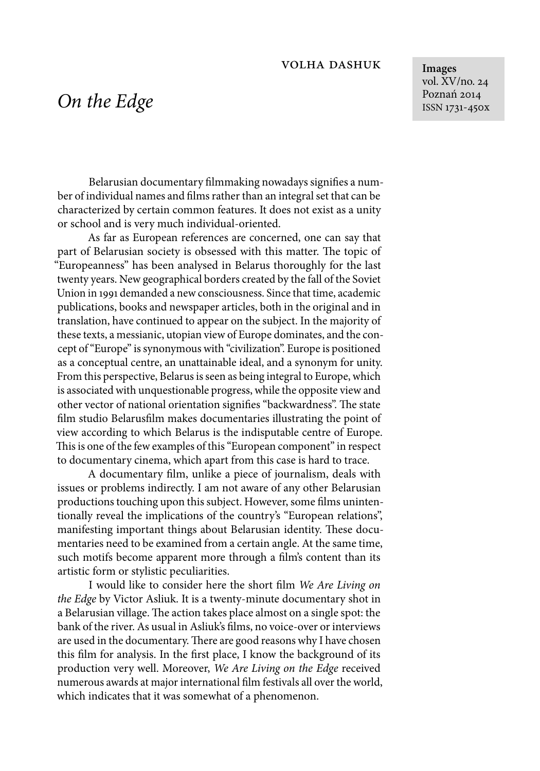## volha dashuk

**Images** vol. XV/no. 24 Poznań 2014 ISSN 1731-450x

## *On the Edge*

Belarusian documentary filmmaking nowadays signifies a number of individual names and films rather than an integral set that can be characterized by certain common features. It does not exist as a unity or school and is very much individual-oriented.

As far as European references are concerned, one can say that part of Belarusian society is obsessed with this matter. The topic of "Europeanness" has been analysed in Belarus thoroughly for the last twenty years. New geographical borders created by the fall of the Soviet Union in 1991 demanded a new consciousness. Since that time, academic publications, books and newspaper articles, both in the original and in translation, have continued to appear on the subject. In the majority of these texts, a messianic, utopian view of Europe dominates, and the concept of "Europe" is synonymous with "civilization". Europe is positioned as a conceptual centre, an unattainable ideal, and a synonym for unity. From this perspective, Belarus is seen as being integral to Europe, which is associated with unquestionable progress, while the opposite view and other vector of national orientation signifies "backwardness". The state film studio Belarusfilm makes documentaries illustrating the point of view according to which Belarus is the indisputable centre of Europe. This is one of the few examples of this "European component" in respect to documentary cinema, which apart from this case is hard to trace.

A documentary film, unlike a piece of journalism, deals with issues or problems indirectly. I am not aware of any other Belarusian productions touching upon this subject. However, some films unintentionally reveal the implications of the country's "European relations", manifesting important things about Belarusian identity. These documentaries need to be examined from a certain angle. At the same time, such motifs become apparent more through a film's content than its artistic form or stylistic peculiarities.

I would like to consider here the short film *We Are Living on the Edge* by Victor Asliuk. It is a twenty-minute documentary shot in a Belarusian village. The action takes place almost on a single spot: the bank of the river. As usual in Asliuk's films, no voice-over or interviews are used in the documentary. There are good reasons why I have chosen this film for analysis. In the first place, I know the background of its production very well. Moreover, *We Are Living on the Edge* received numerous awards at major international film festivals all over the world, which indicates that it was somewhat of a phenomenon.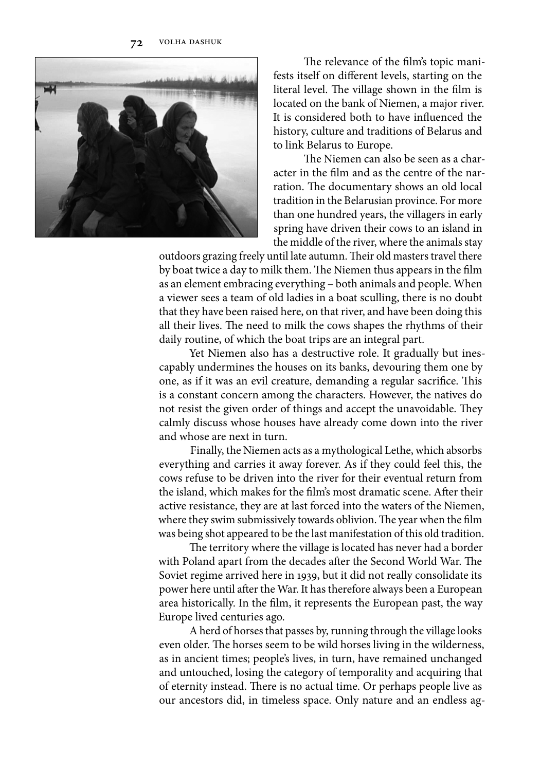

The relevance of the film's topic manifests itself on different levels, starting on the literal level. The village shown in the film is located on the bank of Niemen, a major river. It is considered both to have influenced the history, culture and traditions of Belarus and to link Belarus to Europe.

The Niemen can also be seen as a character in the film and as the centre of the narration. The documentary shows an old local tradition in the Belarusian province. For more than one hundred years, the villagers in early spring have driven their cows to an island in the middle of the river, where the animals stay

outdoors grazing freely until late autumn. Their old masters travel there by boat twice a day to milk them. The Niemen thus appears in the film as an element embracing everything – both animals and people. When a viewer sees a team of old ladies in a boat sculling, there is no doubt that they have been raised here, on that river, and have been doing this all their lives. The need to milk the cows shapes the rhythms of their daily routine, of which the boat trips are an integral part.

Yet Niemen also has a destructive role. It gradually but inescapably undermines the houses on its banks, devouring them one by one, as if it was an evil creature, demanding a regular sacrifice. This is a constant concern among the characters. However, the natives do not resist the given order of things and accept the unavoidable. They calmly discuss whose houses have already come down into the river and whose are next in turn.

Finally, the Niemen acts as a mythological Lethe, which absorbs everything and carries it away forever. As if they could feel this, the cows refuse to be driven into the river for their eventual return from the island, which makes for the film's most dramatic scene. After their active resistance, they are at last forced into the waters of the Niemen, where they swim submissively towards oblivion. The year when the film was being shot appeared to be the last manifestation of this old tradition.

The territory where the village is located has never had a border with Poland apart from the decades after the Second World War. The Soviet regime arrived here in 1939, but it did not really consolidate its power here until after the War. It has therefore always been a European area historically. In the film, it represents the European past, the way Europe lived centuries ago.

A herd of horses that passes by, running through the village looks even older. The horses seem to be wild horses living in the wilderness, as in ancient times; people's lives, in turn, have remained unchanged and untouched, losing the category of temporality and acquiring that of eternity instead. There is no actual time. Or perhaps people live as our ancestors did, in timeless space. Only nature and an endless ag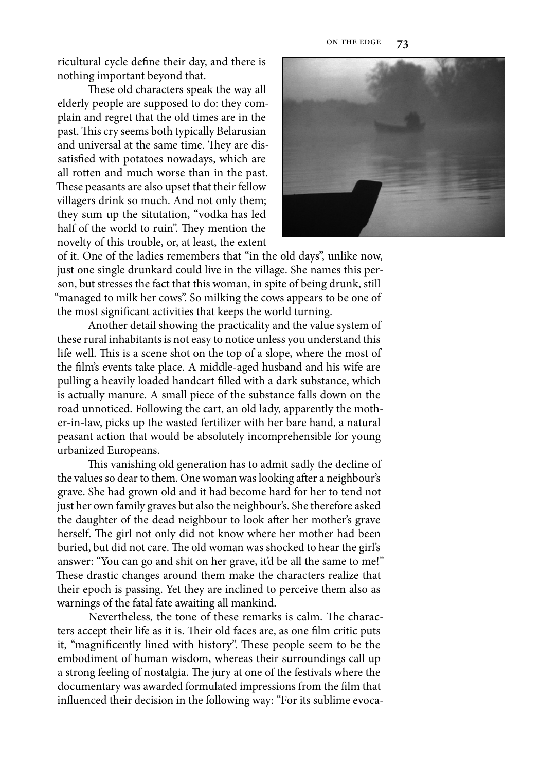ricultural cycle define their day, and there is nothing important beyond that.

These old characters speak the way all elderly people are supposed to do: they complain and regret that the old times are in the past. This cry seems both typically Belarusian and universal at the same time. They are dissatisfied with potatoes nowadays, which are all rotten and much worse than in the past. These peasants are also upset that their fellow villagers drink so much. And not only them; they sum up the situtation, "vodka has led half of the world to ruin". They mention the novelty of this trouble, or, at least, the extent



of it. One of the ladies remembers that "in the old days", unlike now, just one single drunkard could live in the village. She names this person, but stresses the fact that this woman, in spite of being drunk, still "managed to milk her cows". So milking the cows appears to be one of the most significant activities that keeps the world turning.

Another detail showing the practicality and the value system of these rural inhabitants is not easy to notice unless you understand this life well. This is a scene shot on the top of a slope, where the most of the film's events take place. A middle-aged husband and his wife are pulling a heavily loaded handcart filled with a dark substance, which is actually manure. A small piece of the substance falls down on the road unnoticed. Following the cart, an old lady, apparently the mother-in-law, picks up the wasted fertilizer with her bare hand, a natural peasant action that would be absolutely incomprehensible for young urbanized Europeans.

This vanishing old generation has to admit sadly the decline of the values so dear to them. One woman was looking after a neighbour's grave. She had grown old and it had become hard for her to tend not just her own family graves but also the neighbour's. She therefore asked the daughter of the dead neighbour to look after her mother's grave herself. The girl not only did not know where her mother had been buried, but did not care. The old woman was shocked to hear the girl's answer: "You can go and shit on her grave, it'd be all the same to me!" These drastic changes around them make the characters realize that their epoch is passing. Yet they are inclined to perceive them also as warnings of the fatal fate awaiting all mankind.

Nevertheless, the tone of these remarks is calm. The characters accept their life as it is. Their old faces are, as one film critic puts it, "magnificently lined with history". These people seem to be the embodiment of human wisdom, whereas their surroundings call up a strong feeling of nostalgia. The jury at one of the festivals where the documentary was awarded formulated impressions from the film that influenced their decision in the following way: "For its sublime evoca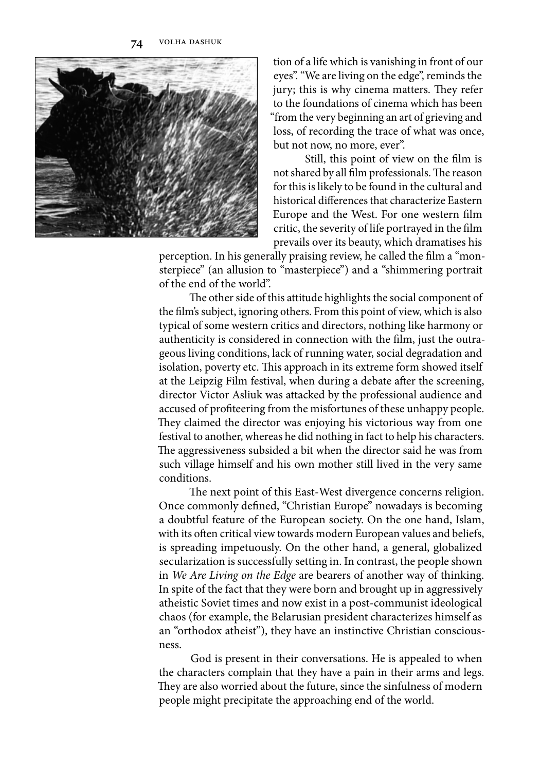**74** volha dashuk



tion of a life which is vanishing in front of our eyes". "We are living on the edge", reminds the jury; this is why cinema matters. They refer to the foundations of cinema which has been "from the very beginning an art of grieving and loss, of recording the trace of what was once, but not now, no more, ever".

Still, this point of view on the film is not shared by all film professionals. The reason for this is likely to be found in the cultural and historical differences that characterize Eastern Europe and the West. For one western film critic, the severity of life portrayed in the film prevails over its beauty, which dramatises his

perception. In his generally praising review, he called the film a "monsterpiece" (an allusion to "masterpiece") and a "shimmering portrait of the end of the world".

The other side of this attitude highlights the social component of the film's subject, ignoring others. From this point of view, which is also typical of some western critics and directors, nothing like harmony or authenticity is considered in connection with the film, just the outrageous living conditions, lack of running water, social degradation and isolation, poverty etc. This approach in its extreme form showed itself at the Leipzig Film festival, when during a debate after the screening, director Victor Asliuk was attacked by the professional audience and accused of profiteering from the misfortunes of these unhappy people. They claimed the director was enjoying his victorious way from one festival to another, whereas he did nothing in fact to help his characters. The aggressiveness subsided a bit when the director said he was from such village himself and his own mother still lived in the very same conditions.

The next point of this East-West divergence concerns religion. Once commonly defined, "Christian Europe" nowadays is becoming a doubtful feature of the European society. On the one hand, Islam, with its often critical view towards modern European values and beliefs, is spreading impetuously. On the other hand, a general, globalized secularization is successfully setting in. In contrast, the people shown in *We Are Living on the Edge* are bearers of another way of thinking. In spite of the fact that they were born and brought up in aggressively atheistic Soviet times and now exist in a post-communist ideological chaos (for example, the Belarusian president characterizes himself as an "orthodox atheist"), they have an instinctive Christian consciousness.

God is present in their conversations. He is appealed to when the characters complain that they have a pain in their arms and legs. They are also worried about the future, since the sinfulness of modern people might precipitate the approaching end of the world.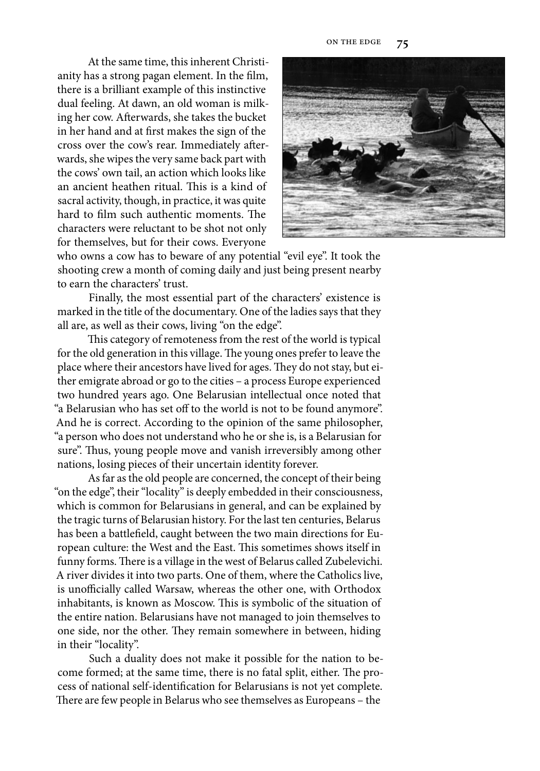At the same time, this inherent Christianity has a strong pagan element. In the film, there is a brilliant example of this instinctive dual feeling. At dawn, an old woman is milking her cow. Afterwards, she takes the bucket in her hand and at first makes the sign of the cross over the cow's rear. Immediately afterwards, she wipes the very same back part with the cows' own tail, an action which looks like an ancient heathen ritual. This is a kind of sacral activity, though, in practice, it was quite hard to film such authentic moments. The characters were reluctant to be shot not only for themselves, but for their cows. Everyone



who owns a cow has to beware of any potential "evil eye". It took the shooting crew a month of coming daily and just being present nearby to earn the characters' trust.

Finally, the most essential part of the characters' existence is marked in the title of the documentary. One of the ladies says that they all are, as well as their cows, living "on the edge".

This category of remoteness from the rest of the world is typical for the old generation in this village. The young ones prefer to leave the place where their ancestors have lived for ages. They do not stay, but either emigrate abroad or go to the cities – a process Europe experienced two hundred years ago. One Belarusian intellectual once noted that "a Belarusian who has set off to the world is not to be found anymore". And he is correct. According to the opinion of the same philosopher, "a person who does not understand who he or she is, is a Belarusian for sure". Thus, young people move and vanish irreversibly among other nations, losing pieces of their uncertain identity forever.

As far as the old people are concerned, the concept of their being "on the edge", their "locality" is deeply embedded in their consciousness, which is common for Belarusians in general, and can be explained by the tragic turns of Belarusian history. For the last ten centuries, Belarus has been a battlefield, caught between the two main directions for European culture: the West and the East. This sometimes shows itself in funny forms. There is a village in the west of Belarus called Zubelevichi. A river divides it into two parts. One of them, where the Catholics live, is unofficially called Warsaw, whereas the other one, with Orthodox inhabitants, is known as Moscow. This is symbolic of the situation of the entire nation. Belarusians have not managed to join themselves to one side, nor the other. They remain somewhere in between, hiding in their "locality".

Such a duality does not make it possible for the nation to become formed; at the same time, there is no fatal split, either. The process of national self-identification for Belarusians is not yet complete. There are few people in Belarus who see themselves as Europeans - the